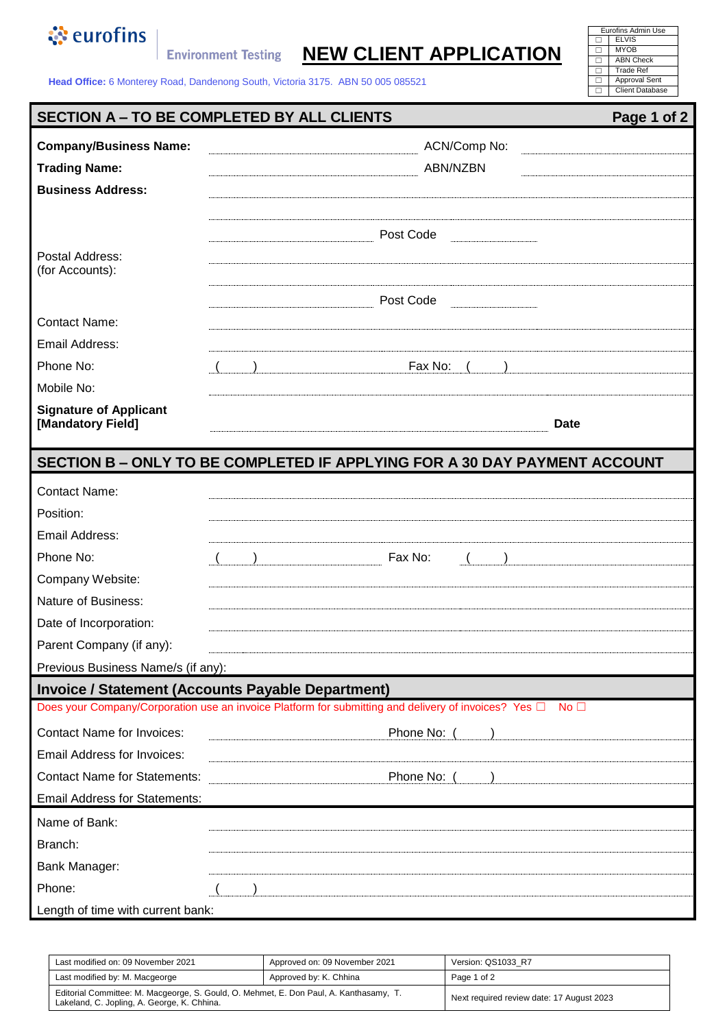

**Environment Testing NEW CLIENT APPLICATION** 

| Eurofins Admin Use     |  |  |
|------------------------|--|--|
| <b>ELVIS</b>           |  |  |
| <b>MYOB</b>            |  |  |
| <b>ABN Check</b>       |  |  |
| <b>Trade Ref</b>       |  |  |
| Approval Sent          |  |  |
| <b>Client Database</b> |  |  |
|                        |  |  |

**Head Office:** 6 Monterey Road, Dandenong South, Victoria 3175. ABN 50 005 085521

## **SECTION A – TO BE COMPLETED BY ALL CLIENTS** Page 1 of 2

| <b>Company/Business Name:</b>        | ACN/Comp No:                                                                                              |  |  |
|--------------------------------------|-----------------------------------------------------------------------------------------------------------|--|--|
| <b>Trading Name:</b>                 | <b>ABN/NZBN</b>                                                                                           |  |  |
| <b>Business Address:</b>             |                                                                                                           |  |  |
|                                      |                                                                                                           |  |  |
|                                      | Post Code                                                                                                 |  |  |
| Postal Address:                      |                                                                                                           |  |  |
| (for Accounts):                      | Post Code                                                                                                 |  |  |
|                                      |                                                                                                           |  |  |
| <b>Contact Name:</b>                 |                                                                                                           |  |  |
| Email Address:                       |                                                                                                           |  |  |
| Phone No:                            | Fax No:                                                                                                   |  |  |
| Mobile No:                           |                                                                                                           |  |  |
| <b>Signature of Applicant</b>        |                                                                                                           |  |  |
| [Mandatory Field]                    | <b>Date</b>                                                                                               |  |  |
|                                      | SECTION B - ONLY TO BE COMPLETED IF APPLYING FOR A 30 DAY PAYMENT ACCOUNT                                 |  |  |
| <b>Contact Name:</b>                 |                                                                                                           |  |  |
| Position:                            |                                                                                                           |  |  |
| Email Address:                       |                                                                                                           |  |  |
| Phone No:                            | Fax No:                                                                                                   |  |  |
| Company Website:                     |                                                                                                           |  |  |
| Nature of Business:                  |                                                                                                           |  |  |
| Date of Incorporation:               |                                                                                                           |  |  |
| Parent Company (if any):             |                                                                                                           |  |  |
| Previous Business Name/s (if any):   |                                                                                                           |  |  |
|                                      | <b>Invoice / Statement (Accounts Payable Department)</b>                                                  |  |  |
|                                      | Does your Company/Corporation use an invoice Platform for submitting and delivery of invoices? Yes □ No □ |  |  |
| <b>Contact Name for Invoices:</b>    | Phone No: (                                                                                               |  |  |
| <b>Email Address for Invoices:</b>   |                                                                                                           |  |  |
| <b>Contact Name for Statements:</b>  | Phone No: (                                                                                               |  |  |
| <b>Email Address for Statements:</b> |                                                                                                           |  |  |
| Name of Bank:                        |                                                                                                           |  |  |
| Branch:                              |                                                                                                           |  |  |
| Bank Manager:                        |                                                                                                           |  |  |
| Phone:                               |                                                                                                           |  |  |
| Length of time with current bank:    |                                                                                                           |  |  |

| Last modified on: 09 November 2021                                                                                                    | Approved on: 09 November 2021 | Version: QS1033 R7                        |
|---------------------------------------------------------------------------------------------------------------------------------------|-------------------------------|-------------------------------------------|
| Last modified by: M. Macgeorge                                                                                                        | Approved by: K. Chhina        | Page 1 of 2                               |
| Editorial Committee: M. Macgeorge, S. Gould, O. Mehmet, E. Don Paul, A. Kanthasamy, T.<br>Lakeland, C. Jopling, A. George, K. Chhina. |                               | Next required review date: 17 August 2023 |